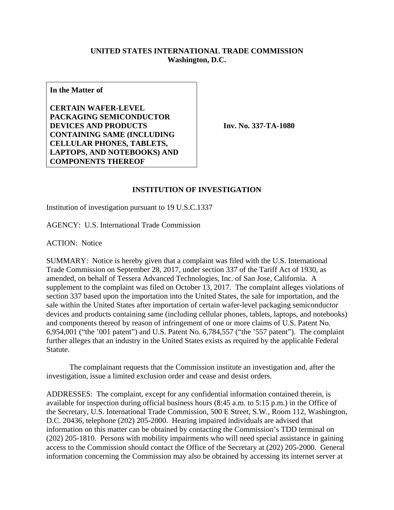## **UNITED STATES INTERNATIONAL TRADE COMMISSION Washington, D.C.**

**In the Matter of** 

**CERTAIN WAFER-LEVEL PACKAGING SEMICONDUCTOR DEVICES AND PRODUCTS CONTAINING SAME (INCLUDING CELLULAR PHONES, TABLETS, LAPTOPS, AND NOTEBOOKS) AND COMPONENTS THEREOF**

**Inv. No. 337-TA-1080**

## **INSTITUTION OF INVESTIGATION**

Institution of investigation pursuant to 19 U.S.C.1337

AGENCY: U.S. International Trade Commission

ACTION: Notice

SUMMARY: Notice is hereby given that a complaint was filed with the U.S. International Trade Commission on September 28, 2017, under section 337 of the Tariff Act of 1930, as amended, on behalf of Tessera Advanced Technologies, Inc. of San Jose, California. A supplement to the complaint was filed on October 13, 2017. The complaint alleges violations of section 337 based upon the importation into the United States, the sale for importation, and the sale within the United States after importation of certain wafer-level packaging semiconductor devices and products containing same (including cellular phones, tablets, laptops, and notebooks) and components thereof by reason of infringement of one or more claims of U.S. Patent No. 6,954,001 ("the '001 patent") and U.S. Patent No. 6,784,557 ("the '557 patent"). The complaint further alleges that an industry in the United States exists as required by the applicable Federal Statute.

 The complainant requests that the Commission institute an investigation and, after the investigation, issue a limited exclusion order and cease and desist orders.

ADDRESSES: The complaint, except for any confidential information contained therein, is available for inspection during official business hours (8:45 a.m. to 5:15 p.m.) in the Office of the Secretary, U.S. International Trade Commission, 500 E Street, S.W., Room 112, Washington, D.C. 20436, telephone (202) 205-2000. Hearing impaired individuals are advised that information on this matter can be obtained by contacting the Commission's TDD terminal on (202) 205-1810. Persons with mobility impairments who will need special assistance in gaining access to the Commission should contact the Office of the Secretary at (202) 205-2000. General information concerning the Commission may also be obtained by accessing its internet server at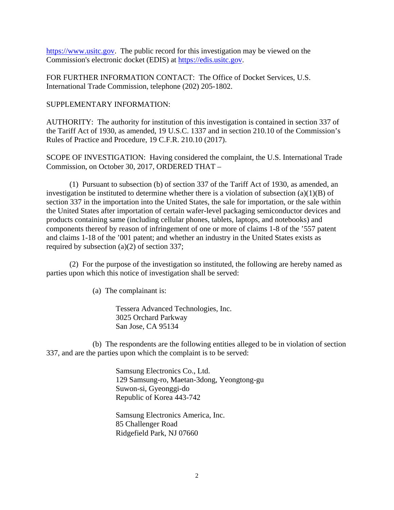https://www.usitc.gov. The public record for this investigation may be viewed on the Commission's electronic docket (EDIS) at https://edis.usitc.gov.

FOR FURTHER INFORMATION CONTACT: The Office of Docket Services, U.S. International Trade Commission, telephone (202) 205-1802.

SUPPLEMENTARY INFORMATION:

AUTHORITY: The authority for institution of this investigation is contained in section 337 of the Tariff Act of 1930, as amended, 19 U.S.C. 1337 and in section 210.10 of the Commission's Rules of Practice and Procedure, 19 C.F.R. 210.10 (2017).

SCOPE OF INVESTIGATION: Having considered the complaint, the U.S. International Trade Commission, on October 30, 2017, ORDERED THAT –

 (1) Pursuant to subsection (b) of section 337 of the Tariff Act of 1930, as amended, an investigation be instituted to determine whether there is a violation of subsection (a)(1)(B) of section 337 in the importation into the United States, the sale for importation, or the sale within the United States after importation of certain wafer-level packaging semiconductor devices and products containing same (including cellular phones, tablets, laptops, and notebooks) and components thereof by reason of infringement of one or more of claims 1-8 of the '557 patent and claims 1-18 of the '001 patent; and whether an industry in the United States exists as required by subsection (a)(2) of section 337;

 (2) For the purpose of the investigation so instituted, the following are hereby named as parties upon which this notice of investigation shall be served:

(a) The complainant is:

Tessera Advanced Technologies, Inc. 3025 Orchard Parkway San Jose, CA 95134

 (b) The respondents are the following entities alleged to be in violation of section 337, and are the parties upon which the complaint is to be served:

> Samsung Electronics Co., Ltd. 129 Samsung-ro, Maetan-3dong, Yeongtong-gu Suwon-si, Gyeonggi-do Republic of Korea 443-742

 Samsung Electronics America, Inc. 85 Challenger Road Ridgefield Park, NJ 07660